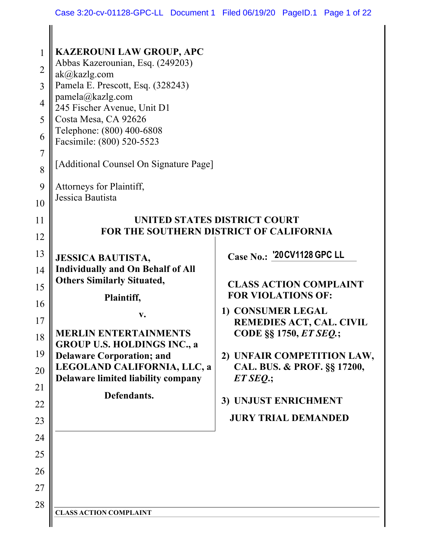| 1<br>$\overline{2}$<br>3<br>$\overline{4}$<br>5<br>6<br>7<br>8<br>9 | <b>KAZEROUNI LAW GROUP, APC</b><br>Abbas Kazerounian, Esq. (249203)<br>ak@kazlg.com<br>Pamela E. Prescott, Esq. (328243)<br>pamela@kazlg.com<br>245 Fischer Avenue, Unit D1<br>Costa Mesa, CA 92626<br>Telephone: (800) 400-6808<br>Facsimile: (800) 520-5523<br>[Additional Counsel On Signature Page]<br>Attorneys for Plaintiff, |                                                                                                                                                                                                                                                                               |  |  |  |  |  |
|---------------------------------------------------------------------|-------------------------------------------------------------------------------------------------------------------------------------------------------------------------------------------------------------------------------------------------------------------------------------------------------------------------------------|-------------------------------------------------------------------------------------------------------------------------------------------------------------------------------------------------------------------------------------------------------------------------------|--|--|--|--|--|
| 10<br>11                                                            | Jessica Bautista<br>UNITED STATES DISTRICT COURT                                                                                                                                                                                                                                                                                    |                                                                                                                                                                                                                                                                               |  |  |  |  |  |
| 12                                                                  |                                                                                                                                                                                                                                                                                                                                     | <b>FOR THE SOUTHERN DISTRICT OF CALIFORNIA</b>                                                                                                                                                                                                                                |  |  |  |  |  |
| 13<br>14<br>15<br>16<br>17<br>18<br>19<br>20<br>21<br>22            | <b>JESSICA BAUTISTA,</b><br><b>Individually and On Behalf of All</b><br><b>Others Similarly Situated,</b><br>Plaintiff,<br>v.<br><b>MERLIN ENTERTAINMENTS</b><br><b>GROUP U.S. HOLDINGS INC., a</b><br><b>Delaware Corporation; and</b><br>LEGOLAND CALIFORNIA, LLC, a<br><b>Delaware limited liability company</b><br>Defendants.  | Case No.: '20 CV1128 GPC LL<br><b>CLASS ACTION COMPLAINT</b><br><b>FOR VIOLATIONS OF:</b><br>1) CONSUMER LEGAL<br><b>REMEDIES ACT, CAL. CIVIL</b><br>CODE §§ 1750, ET SEQ.;<br>2) UNFAIR COMPETITION LAW,<br>CAL. BUS. & PROF. §§ 17200,<br>$ET$ SEQ:<br>3) UNJUST ENRICHMENT |  |  |  |  |  |
| 23                                                                  |                                                                                                                                                                                                                                                                                                                                     | <b>JURY TRIAL DEMANDED</b>                                                                                                                                                                                                                                                    |  |  |  |  |  |
| 24                                                                  |                                                                                                                                                                                                                                                                                                                                     |                                                                                                                                                                                                                                                                               |  |  |  |  |  |
| 25                                                                  |                                                                                                                                                                                                                                                                                                                                     |                                                                                                                                                                                                                                                                               |  |  |  |  |  |
| 26                                                                  |                                                                                                                                                                                                                                                                                                                                     |                                                                                                                                                                                                                                                                               |  |  |  |  |  |
| 27                                                                  |                                                                                                                                                                                                                                                                                                                                     |                                                                                                                                                                                                                                                                               |  |  |  |  |  |
| 28                                                                  | <b>CLASS ACTION COMPLAINT</b>                                                                                                                                                                                                                                                                                                       |                                                                                                                                                                                                                                                                               |  |  |  |  |  |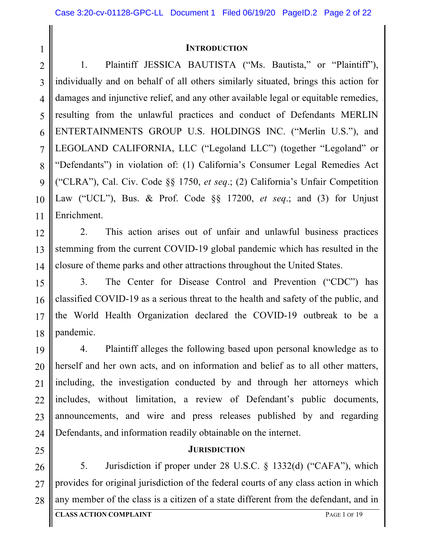#### **INTRODUCTION**

2 3 4 5 6 7 8 9 10 11 1. Plaintiff JESSICA BAUTISTA ("Ms. Bautista," or "Plaintiff"), individually and on behalf of all others similarly situated, brings this action for damages and injunctive relief, and any other available legal or equitable remedies, resulting from the unlawful practices and conduct of Defendants MERLIN ENTERTAINMENTS GROUP U.S. HOLDINGS INC. ("Merlin U.S."), and LEGOLAND CALIFORNIA, LLC ("Legoland LLC") (together "Legoland" or "Defendants") in violation of: (1) California's Consumer Legal Remedies Act ("CLRA"), Cal. Civ. Code §§ 1750, *et seq*.; (2) California's Unfair Competition Law ("UCL"), Bus. & Prof. Code §§ 17200, *et seq*.; and (3) for Unjust Enrichment.

2. This action arises out of unfair and unlawful business practices stemming from the current COVID-19 global pandemic which has resulted in the closure of theme parks and other attractions throughout the United States.

3. The Center for Disease Control and Prevention ("CDC") has classified COVID-19 as a serious threat to the health and safety of the public, and the World Health Organization declared the COVID-19 outbreak to be a pandemic.

4. Plaintiff alleges the following based upon personal knowledge as to herself and her own acts, and on information and belief as to all other matters, including, the investigation conducted by and through her attorneys which includes, without limitation, a review of Defendant's public documents, announcements, and wire and press releases published by and regarding Defendants, and information readily obtainable on the internet.

#### **JURISDICTION**

5. Jurisdiction if proper under 28 U.S.C. § 1332(d) ("CAFA"), which provides for original jurisdiction of the federal courts of any class action in which any member of the class is a citizen of a state different from the defendant, and in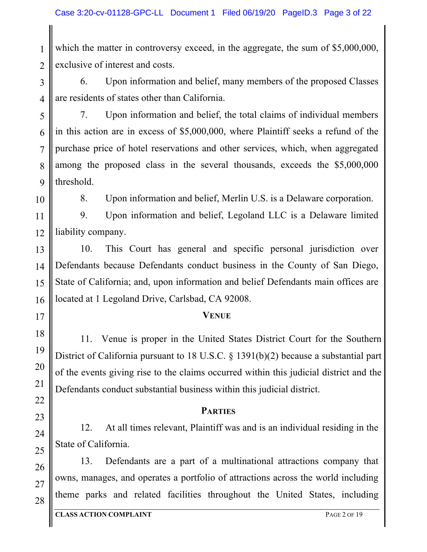2 which the matter in controversy exceed, in the aggregate, the sum of \$5,000,000, exclusive of interest and costs.

3 4 6. Upon information and belief, many members of the proposed Classes are residents of states other than California.

5 6 7 7. Upon information and belief, the total claims of individual members in this action are in excess of \$5,000,000, where Plaintiff seeks a refund of the purchase price of hotel reservations and other services, which, when aggregated among the proposed class in the several thousands, exceeds the \$5,000,000 threshold.

1

8. Upon information and belief, Merlin U.S. is a Delaware corporation.

9. Upon information and belief, Legoland LLC is a Delaware limited liability company.

10. This Court has general and specific personal jurisdiction over Defendants because Defendants conduct business in the County of San Diego, State of California; and, upon information and belief Defendants main offices are located at 1 Legoland Drive, Carlsbad, CA 92008.

#### **VENUE**

11. Venue is proper in the United States District Court for the Southern District of California pursuant to 18 U.S.C. § 1391(b)(2) because a substantial part of the events giving rise to the claims occurred within this judicial district and the Defendants conduct substantial business within this judicial district.

#### **PARTIES**

12. At all times relevant, Plaintiff was and is an individual residing in the State of California.

13. Defendants are a part of a multinational attractions company that owns, manages, and operates a portfolio of attractions across the world including theme parks and related facilities throughout the United States, including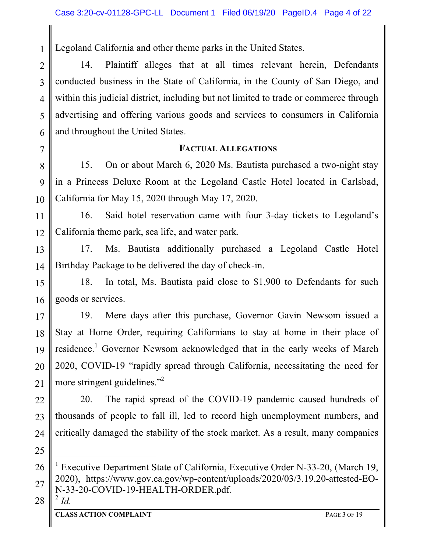Legoland California and other theme parks in the United States.

2 3 4 5 6 14. Plaintiff alleges that at all times relevant herein, Defendants conducted business in the State of California, in the County of San Diego, and within this judicial district, including but not limited to trade or commerce through advertising and offering various goods and services to consumers in California and throughout the United States.

#### **FACTUAL ALLEGATIONS**

8 9 10 15. On or about March 6, 2020 Ms. Bautista purchased a two-night stay in a Princess Deluxe Room at the Legoland Castle Hotel located in Carlsbad, California for May 15, 2020 through May 17, 2020.

11 12 16. Said hotel reservation came with four 3-day tickets to Legoland's California theme park, sea life, and water park.

13 14 17. Ms. Bautista additionally purchased a Legoland Castle Hotel Birthday Package to be delivered the day of check-in.

15 16 18. In total, Ms. Bautista paid close to \$1,900 to Defendants for such goods or services.

17 18 19 20 21 19. Mere days after this purchase, Governor Gavin Newsom issued a Stay at Home Order, requiring Californians to stay at home in their place of residence.<sup>1</sup> Governor Newsom acknowledged that in the early weeks of March 2020, COVID-19 "rapidly spread through California, necessitating the need for more stringent guidelines."<sup>2</sup>

22 23 24 20. The rapid spread of the COVID-19 pandemic caused hundreds of thousands of people to fall ill, led to record high unemployment numbers, and critically damaged the stability of the stock market. As a result, many companies

28

i

25

1

<sup>26</sup> 27 <sup>1</sup> Executive Department State of California, Executive Order N-33-20, (March 19, 2020), https://www.gov.ca.gov/wp-content/uploads/2020/03/3.19.20-attested-EO-N-33-20-COVID-19-HEALTH-ORDER.pdf.  $^2$  *Id.*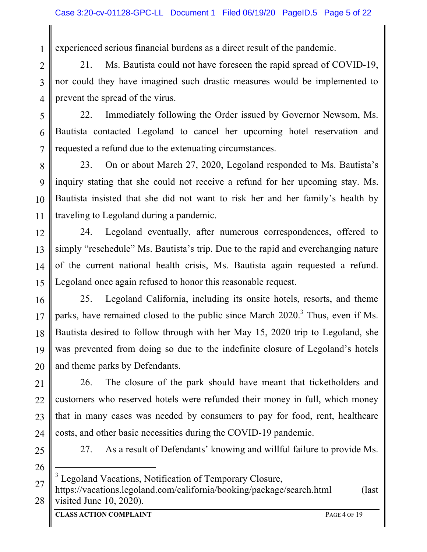experienced serious financial burdens as a direct result of the pandemic.

2 3 4 21. Ms. Bautista could not have foreseen the rapid spread of COVID-19, nor could they have imagined such drastic measures would be implemented to prevent the spread of the virus.

5 6 7 22. Immediately following the Order issued by Governor Newsom, Ms. Bautista contacted Legoland to cancel her upcoming hotel reservation and requested a refund due to the extenuating circumstances.

8 9 10 11 23. On or about March 27, 2020, Legoland responded to Ms. Bautista's inquiry stating that she could not receive a refund for her upcoming stay. Ms. Bautista insisted that she did not want to risk her and her family's health by traveling to Legoland during a pandemic.

12 13 14 15 24. Legoland eventually, after numerous correspondences, offered to simply "reschedule" Ms. Bautista's trip. Due to the rapid and everchanging nature of the current national health crisis, Ms. Bautista again requested a refund. Legoland once again refused to honor this reasonable request.

16 17 18 19 20 25. Legoland California, including its onsite hotels, resorts, and theme parks, have remained closed to the public since March  $2020$ .<sup>3</sup> Thus, even if Ms. Bautista desired to follow through with her May 15, 2020 trip to Legoland, she was prevented from doing so due to the indefinite closure of Legoland's hotels and theme parks by Defendants.

21 22 23 24 26. The closure of the park should have meant that ticketholders and customers who reserved hotels were refunded their money in full, which money that in many cases was needed by consumers to pay for food, rent, healthcare costs, and other basic necessities during the COVID-19 pandemic.

25 26

i

1

27. As a result of Defendants' knowing and willful failure to provide Ms.

Legoland Vacations, Notification of Temporary Closure,

<sup>27</sup> 28 https://vacations.legoland.com/california/booking/package/search.html (last visited June 10, 2020).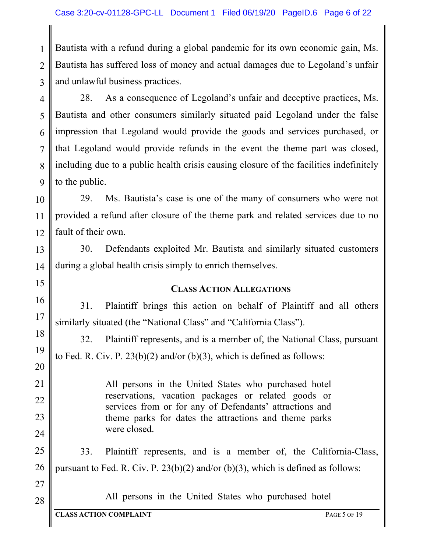2 3 Bautista with a refund during a global pandemic for its own economic gain, Ms. Bautista has suffered loss of money and actual damages due to Legoland's unfair and unlawful business practices.

28. As a consequence of Legoland's unfair and deceptive practices, Ms. Bautista and other consumers similarly situated paid Legoland under the false impression that Legoland would provide the goods and services purchased, or that Legoland would provide refunds in the event the theme part was closed, including due to a public health crisis causing closure of the facilities indefinitely to the public.

29. Ms. Bautista's case is one of the many of consumers who were not provided a refund after closure of the theme park and related services due to no fault of their own.

30. Defendants exploited Mr. Bautista and similarly situated customers during a global health crisis simply to enrich themselves.

#### **CLASS ACTION ALLEGATIONS**

31. Plaintiff brings this action on behalf of Plaintiff and all others similarly situated (the "National Class" and "California Class").

32. Plaintiff represents, and is a member of, the National Class, pursuant to Fed. R. Civ. P.  $23(b)(2)$  and/or (b)(3), which is defined as follows:

> All persons in the United States who purchased hotel reservations, vacation packages or related goods or services from or for any of Defendants' attractions and theme parks for dates the attractions and theme parks were closed.

33. Plaintiff represents, and is a member of, the California-Class, pursuant to Fed. R. Civ. P.  $23(b)(2)$  and/or (b)(3), which is defined as follows:

All persons in the United States who purchased hotel

1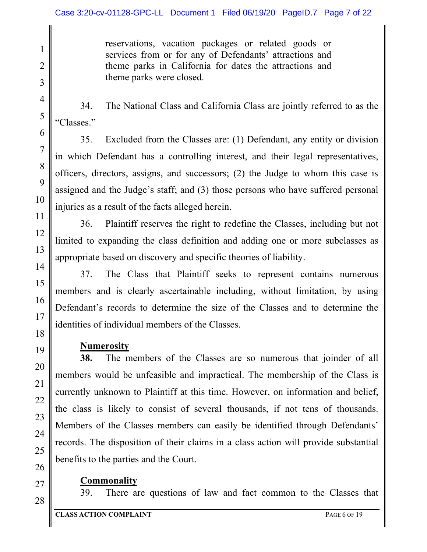reservations, vacation packages or related goods or services from or for any of Defendants' attractions and theme parks in California for dates the attractions and theme parks were closed.

34. The National Class and California Class are jointly referred to as the "Classes."

35. Excluded from the Classes are: (1) Defendant, any entity or division in which Defendant has a controlling interest, and their legal representatives, officers, directors, assigns, and successors; (2) the Judge to whom this case is assigned and the Judge's staff; and (3) those persons who have suffered personal injuries as a result of the facts alleged herein.

36. Plaintiff reserves the right to redefine the Classes, including but not limited to expanding the class definition and adding one or more subclasses as appropriate based on discovery and specific theories of liability.

37. The Class that Plaintiff seeks to represent contains numerous members and is clearly ascertainable including, without limitation, by using Defendant's records to determine the size of the Classes and to determine the identities of individual members of the Classes.

## **Numerosity**

**38.** The members of the Classes are so numerous that joinder of all members would be unfeasible and impractical. The membership of the Class is currently unknown to Plaintiff at this time. However, on information and belief, the class is likely to consist of several thousands, if not tens of thousands. Members of the Classes members can easily be identified through Defendants' records. The disposition of their claims in a class action will provide substantial benefits to the parties and the Court.

## **Commonality**

28

1

2

3

4

5

6

7

8

9

10

11

12

13

14

15

16

17

18

19

20

21

22

23

24

25

26

27

39. There are questions of law and fact common to the Classes that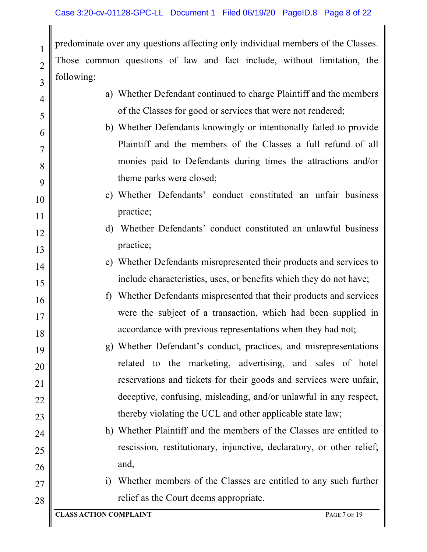predominate over any questions affecting only individual members of the Classes. Those common questions of law and fact include, without limitation, the following:

| a) Whether Defendant continued to charge Plaintiff and the members                   |
|--------------------------------------------------------------------------------------|
| of the Classes for good or services that were not rendered;                          |
| b) Whether Defendants knowingly or intentionally failed to provide                   |
| Plaintiff and the members of the Classes a full refund of all                        |
| monies paid to Defendants during times the attractions and/or                        |
| theme parks were closed;                                                             |
| c) Whether Defendants' conduct constituted an unfair business                        |
| practice;                                                                            |
| d) Whether Defendants' conduct constituted an unlawful business                      |
| practice;                                                                            |
| e) Whether Defendants misrepresented their products and services to                  |
| include characteristics, uses, or benefits which they do not have;                   |
| f) Whether Defendants mispresented that their products and services                  |
| were the subject of a transaction, which had been supplied in                        |
| accordance with previous representations when they had not;                          |
| g) Whether Defendant's conduct, practices, and misrepresentations                    |
| related to the marketing, advertising, and sales of hotel                            |
| reservations and tickets for their goods and services were unfair,                   |
| deceptive, confusing, misleading, and/or unlawful in any respect,                    |
| thereby violating the UCL and other applicable state law;                            |
| h) Whether Plaintiff and the members of the Classes are entitled to                  |
| rescission, restitutionary, injunctive, declaratory, or other relief;                |
| and,                                                                                 |
| Whether members of the Classes are entitled to any such further<br>$\left( i\right)$ |
| relief as the Court deems appropriate.                                               |
| <b>CLASS ACTION COMPLAINT</b><br>PAGE 7 OF 19                                        |
|                                                                                      |

1

2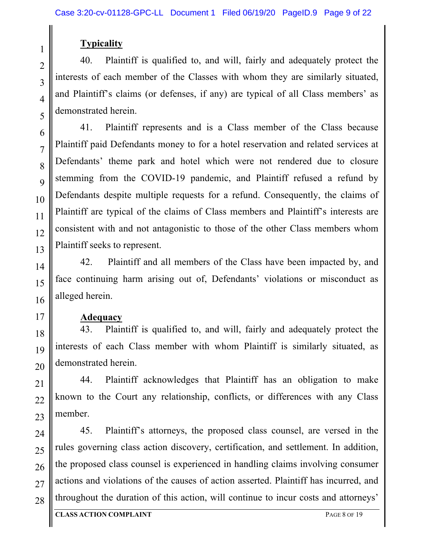## **Typicality**

40. Plaintiff is qualified to, and will, fairly and adequately protect the interests of each member of the Classes with whom they are similarly situated, and Plaintiff's claims (or defenses, if any) are typical of all Class members' as demonstrated herein.

41. Plaintiff represents and is a Class member of the Class because Plaintiff paid Defendants money to for a hotel reservation and related services at Defendants' theme park and hotel which were not rendered due to closure stemming from the COVID-19 pandemic, and Plaintiff refused a refund by Defendants despite multiple requests for a refund. Consequently, the claims of Plaintiff are typical of the claims of Class members and Plaintiff's interests are consistent with and not antagonistic to those of the other Class members whom Plaintiff seeks to represent.

42. Plaintiff and all members of the Class have been impacted by, and face continuing harm arising out of, Defendants' violations or misconduct as alleged herein.

#### **Adequacy**

43. Plaintiff is qualified to, and will, fairly and adequately protect the interests of each Class member with whom Plaintiff is similarly situated, as demonstrated herein.

44. Plaintiff acknowledges that Plaintiff has an obligation to make known to the Court any relationship, conflicts, or differences with any Class member.

45. Plaintiff's attorneys, the proposed class counsel, are versed in the rules governing class action discovery, certification, and settlement. In addition, the proposed class counsel is experienced in handling claims involving consumer actions and violations of the causes of action asserted. Plaintiff has incurred, and throughout the duration of this action, will continue to incur costs and attorneys'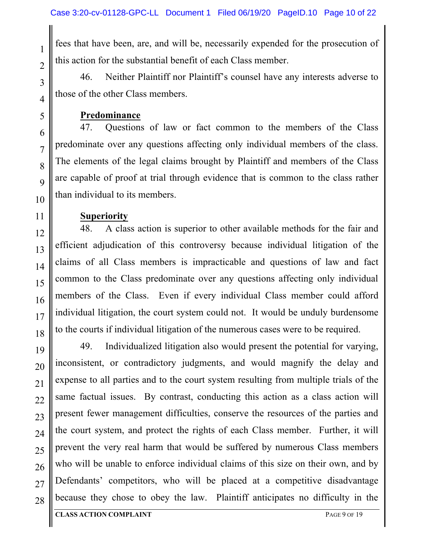fees that have been, are, and will be, necessarily expended for the prosecution of this action for the substantial benefit of each Class member.

46. Neither Plaintiff nor Plaintiff's counsel have any interests adverse to those of the other Class members.

**Predominance**

47. Questions of law or fact common to the members of the Class predominate over any questions affecting only individual members of the class. The elements of the legal claims brought by Plaintiff and members of the Class are capable of proof at trial through evidence that is common to the class rather than individual to its members.

#### **Superiority**

48. A class action is superior to other available methods for the fair and efficient adjudication of this controversy because individual litigation of the claims of all Class members is impracticable and questions of law and fact common to the Class predominate over any questions affecting only individual members of the Class. Even if every individual Class member could afford individual litigation, the court system could not. It would be unduly burdensome to the courts if individual litigation of the numerous cases were to be required.

49. Individualized litigation also would present the potential for varying, inconsistent, or contradictory judgments, and would magnify the delay and expense to all parties and to the court system resulting from multiple trials of the same factual issues. By contrast, conducting this action as a class action will present fewer management difficulties, conserve the resources of the parties and the court system, and protect the rights of each Class member. Further, it will prevent the very real harm that would be suffered by numerous Class members who will be unable to enforce individual claims of this size on their own, and by Defendants' competitors, who will be placed at a competitive disadvantage because they chose to obey the law. Plaintiff anticipates no difficulty in the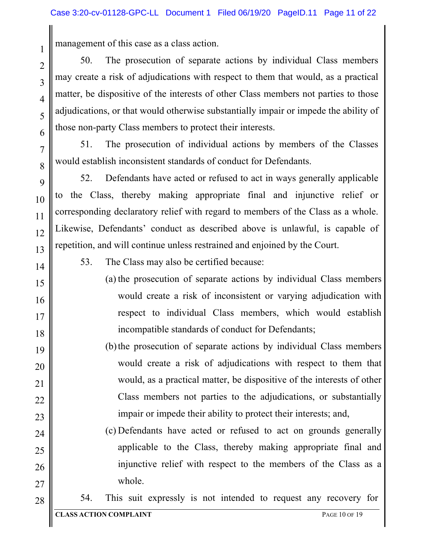management of this case as a class action.

50. The prosecution of separate actions by individual Class members may create a risk of adjudications with respect to them that would, as a practical matter, be dispositive of the interests of other Class members not parties to those adjudications, or that would otherwise substantially impair or impede the ability of those non-party Class members to protect their interests.

51. The prosecution of individual actions by members of the Classes would establish inconsistent standards of conduct for Defendants.

52. Defendants have acted or refused to act in ways generally applicable to the Class, thereby making appropriate final and injunctive relief or corresponding declaratory relief with regard to members of the Class as a whole. Likewise, Defendants' conduct as described above is unlawful, is capable of repetition, and will continue unless restrained and enjoined by the Court.

14

1

2

3

4

5

6

7

8

9

10

11

12

13

15

16

17

18

19

20

21

22

23

24

25

26

27

53. The Class may also be certified because:

- (a) the prosecution of separate actions by individual Class members would create a risk of inconsistent or varying adjudication with respect to individual Class members, which would establish incompatible standards of conduct for Defendants;
- (b)the prosecution of separate actions by individual Class members would create a risk of adjudications with respect to them that would, as a practical matter, be dispositive of the interests of other Class members not parties to the adjudications, or substantially impair or impede their ability to protect their interests; and,
	- (c) Defendants have acted or refused to act on grounds generally applicable to the Class, thereby making appropriate final and injunctive relief with respect to the members of the Class as a whole.

28

54. This suit expressly is not intended to request any recovery for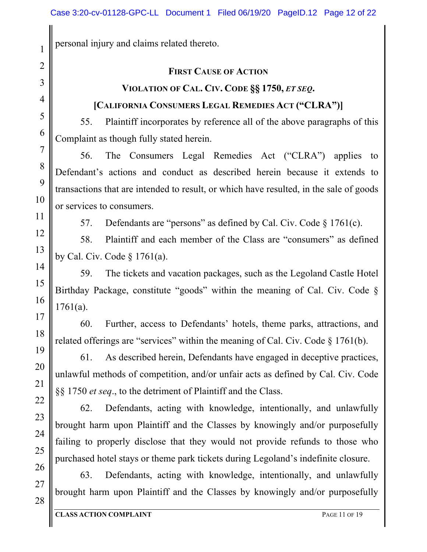personal injury and claims related thereto.

#### **FIRST CAUSE OF ACTION**

## **VIOLATION OF CAL. CIV. CODE §§ 1750,** *ET SEQ***.**

## **[CALIFORNIA CONSUMERS LEGAL REMEDIES ACT ("CLRA")]**

55. Plaintiff incorporates by reference all of the above paragraphs of this Complaint as though fully stated herein.

56. The Consumers Legal Remedies Act ("CLRA") applies to Defendant's actions and conduct as described herein because it extends to transactions that are intended to result, or which have resulted, in the sale of goods or services to consumers.

57. Defendants are "persons" as defined by Cal. Civ. Code § 1761(c).

58. Plaintiff and each member of the Class are "consumers" as defined by Cal. Civ. Code § 1761(a).

59. The tickets and vacation packages, such as the Legoland Castle Hotel Birthday Package, constitute "goods" within the meaning of Cal. Civ. Code § 1761(a).

60. Further, access to Defendants' hotels, theme parks, attractions, and related offerings are "services" within the meaning of Cal. Civ. Code § 1761(b).

61. As described herein, Defendants have engaged in deceptive practices, unlawful methods of competition, and/or unfair acts as defined by Cal. Civ. Code §§ 1750 *et seq*., to the detriment of Plaintiff and the Class.

62. Defendants, acting with knowledge, intentionally, and unlawfully brought harm upon Plaintiff and the Classes by knowingly and/or purposefully failing to properly disclose that they would not provide refunds to those who purchased hotel stays or theme park tickets during Legoland's indefinite closure.

63. Defendants, acting with knowledge, intentionally, and unlawfully brought harm upon Plaintiff and the Classes by knowingly and/or purposefully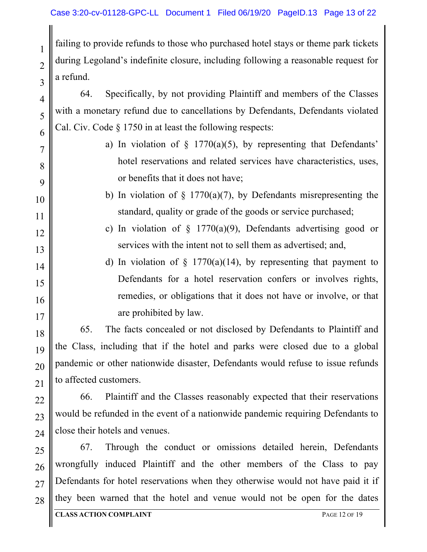failing to provide refunds to those who purchased hotel stays or theme park tickets during Legoland's indefinite closure, including following a reasonable request for a refund.

64. Specifically, by not providing Plaintiff and members of the Classes with a monetary refund due to cancellations by Defendants, Defendants violated Cal. Civ. Code § 1750 in at least the following respects:

- a) In violation of  $\S$  1770(a)(5), by representing that Defendants' hotel reservations and related services have characteristics, uses, or benefits that it does not have;
- b) In violation of  $\S$  1770(a)(7), by Defendants misrepresenting the standard, quality or grade of the goods or service purchased;
- c) In violation of  $\S$  1770(a)(9), Defendants advertising good or services with the intent not to sell them as advertised; and,
- d) In violation of  $\S$  1770(a)(14), by representing that payment to Defendants for a hotel reservation confers or involves rights, remedies, or obligations that it does not have or involve, or that are prohibited by law.

65. The facts concealed or not disclosed by Defendants to Plaintiff and the Class, including that if the hotel and parks were closed due to a global pandemic or other nationwide disaster, Defendants would refuse to issue refunds to affected customers.

66. Plaintiff and the Classes reasonably expected that their reservations would be refunded in the event of a nationwide pandemic requiring Defendants to close their hotels and venues.

67. Through the conduct or omissions detailed herein, Defendants wrongfully induced Plaintiff and the other members of the Class to pay Defendants for hotel reservations when they otherwise would not have paid it if they been warned that the hotel and venue would not be open for the dates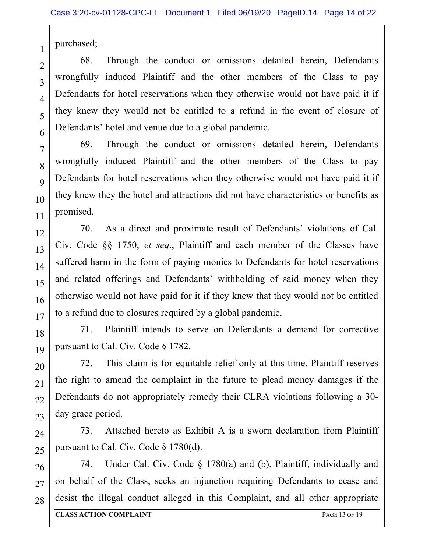purchased;

1

68. Through the conduct or omissions detailed herein, Defendants wrongfully induced Plaintiff and the other members of the Class to pay Defendants for hotel reservations when they otherwise would not have paid it if they knew they would not be entitled to a refund in the event of closure of Defendants' hotel and venue due to a global pandemic.

69. Through the conduct or omissions detailed herein, Defendants wrongfully induced Plaintiff and the other members of the Class to pay Defendants for hotel reservations when they otherwise would not have paid it if they knew they the hotel and attractions did not have characteristics or benefits as promised.

70. As a direct and proximate result of Defendants' violations of Cal. Civ. Code §§ 1750, *et seq*., Plaintiff and each member of the Classes have suffered harm in the form of paying monies to Defendants for hotel reservations and related offerings and Defendants' withholding of said money when they otherwise would not have paid for it if they knew that they would not be entitled to a refund due to closures required by a global pandemic.

71. Plaintiff intends to serve on Defendants a demand for corrective pursuant to Cal. Civ. Code § 1782.

72. This claim is for equitable relief only at this time. Plaintiff reserves the right to amend the complaint in the future to plead money damages if the Defendants do not appropriately remedy their CLRA violations following a 30 day grace period.

73. Attached hereto as Exhibit A is a sworn declaration from Plaintiff pursuant to Cal. Civ. Code § 1780(d).

74. Under Cal. Civ. Code § 1780(a) and (b), Plaintiff, individually and on behalf of the Class, seeks an injunction requiring Defendants to cease and desist the illegal conduct alleged in this Complaint, and all other appropriate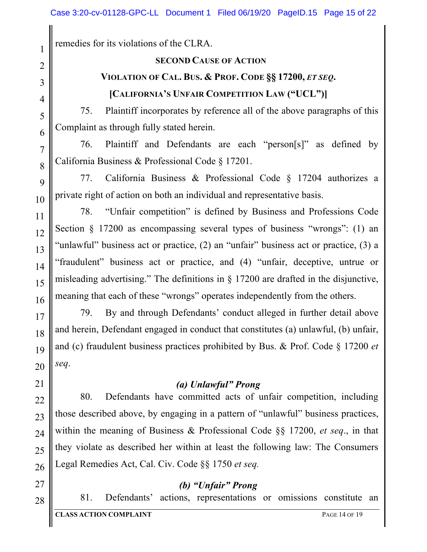remedies for its violations of the CLRA.

#### **SECOND CAUSE OF ACTION**

## **VIOLATION OF CAL. BUS. & PROF. CODE §§ 17200,** *ET SEQ***. [CALIFORNIA'S UNFAIR COMPETITION LAW ("UCL")]**

## 75. Plaintiff incorporates by reference all of the above paragraphs of this

Complaint as through fully stated herein.

76. Plaintiff and Defendants are each "person[s]" as defined by California Business & Professional Code § 17201.

77. California Business & Professional Code § 17204 authorizes a private right of action on both an individual and representative basis.

78. "Unfair competition" is defined by Business and Professions Code Section § 17200 as encompassing several types of business "wrongs": (1) an "unlawful" business act or practice, (2) an "unfair" business act or practice, (3) a "fraudulent" business act or practice, and (4) "unfair, deceptive, untrue or misleading advertising." The definitions in § 17200 are drafted in the disjunctive, meaning that each of these "wrongs" operates independently from the others.

79. By and through Defendants' conduct alleged in further detail above and herein, Defendant engaged in conduct that constitutes (a) unlawful, (b) unfair, and (c) fraudulent business practices prohibited by Bus. & Prof. Code § 17200 *et seq*.

### *(a) Unlawful" Prong*

80. Defendants have committed acts of unfair competition, including those described above, by engaging in a pattern of "unlawful" business practices, within the meaning of Business & Professional Code §§ 17200, *et seq*., in that they violate as described her within at least the following law: The Consumers Legal Remedies Act, Cal. Civ. Code §§ 1750 *et seq.*

#### *(b) "Unfair" Prong*

81. Defendants' actions, representations or omissions constitute an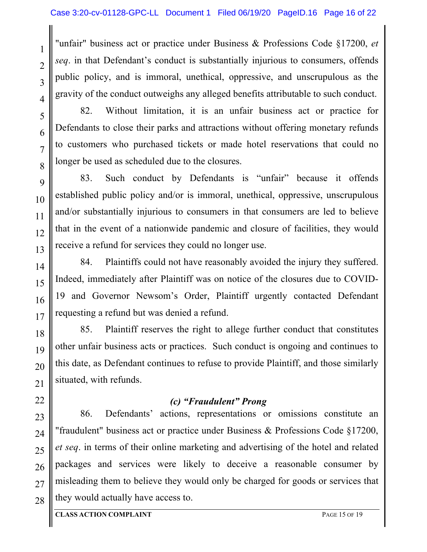"unfair" business act or practice under Business & Professions Code §17200, *et seq*. in that Defendant's conduct is substantially injurious to consumers, offends public policy, and is immoral, unethical, oppressive, and unscrupulous as the gravity of the conduct outweighs any alleged benefits attributable to such conduct.

82. Without limitation, it is an unfair business act or practice for Defendants to close their parks and attractions without offering monetary refunds to customers who purchased tickets or made hotel reservations that could no longer be used as scheduled due to the closures.

83. Such conduct by Defendants is "unfair" because it offends established public policy and/or is immoral, unethical, oppressive, unscrupulous and/or substantially injurious to consumers in that consumers are led to believe that in the event of a nationwide pandemic and closure of facilities, they would receive a refund for services they could no longer use.

84. Plaintiffs could not have reasonably avoided the injury they suffered. Indeed, immediately after Plaintiff was on notice of the closures due to COVID-19 and Governor Newsom's Order, Plaintiff urgently contacted Defendant requesting a refund but was denied a refund.

85. Plaintiff reserves the right to allege further conduct that constitutes other unfair business acts or practices. Such conduct is ongoing and continues to this date, as Defendant continues to refuse to provide Plaintiff, and those similarly situated, with refunds.

## *(c) "Fraudulent" Prong*

86. Defendants' actions, representations or omissions constitute an "fraudulent" business act or practice under Business & Professions Code §17200, *et seq*. in terms of their online marketing and advertising of the hotel and related packages and services were likely to deceive a reasonable consumer by misleading them to believe they would only be charged for goods or services that they would actually have access to.

1

2

3

4

5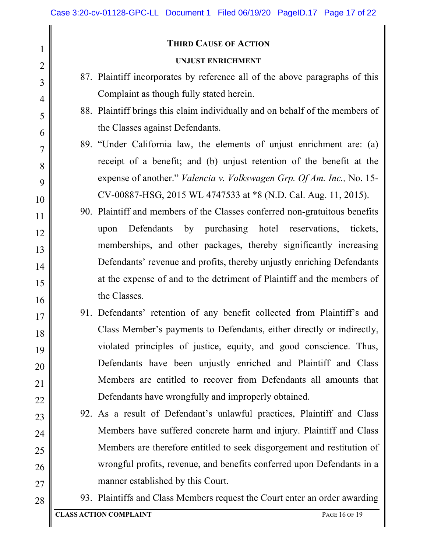#### **THIRD CAUSE OF ACTION**

#### **UNJUST ENRICHMENT**

- 87. Plaintiff incorporates by reference all of the above paragraphs of this Complaint as though fully stated herein.
- 88. Plaintiff brings this claim individually and on behalf of the members of the Classes against Defendants.
- 89. "Under California law, the elements of unjust enrichment are: (a) receipt of a benefit; and (b) unjust retention of the benefit at the expense of another." *Valencia v. Volkswagen Grp. Of Am. Inc.,* No. 15- CV-00887-HSG, 2015 WL 4747533 at \*8 (N.D. Cal. Aug. 11, 2015).
- 90. Plaintiff and members of the Classes conferred non-gratuitous benefits upon Defendants by purchasing hotel reservations, tickets, memberships, and other packages, thereby significantly increasing Defendants' revenue and profits, thereby unjustly enriching Defendants at the expense of and to the detriment of Plaintiff and the members of the Classes.
- 91. Defendants' retention of any benefit collected from Plaintiff's and Class Member's payments to Defendants, either directly or indirectly, violated principles of justice, equity, and good conscience. Thus, Defendants have been unjustly enriched and Plaintiff and Class Members are entitled to recover from Defendants all amounts that Defendants have wrongfully and improperly obtained.
	- 92. As a result of Defendant's unlawful practices, Plaintiff and Class Members have suffered concrete harm and injury. Plaintiff and Class Members are therefore entitled to seek disgorgement and restitution of wrongful profits, revenue, and benefits conferred upon Defendants in a manner established by this Court.
	- 93. Plaintiffs and Class Members request the Court enter an order awarding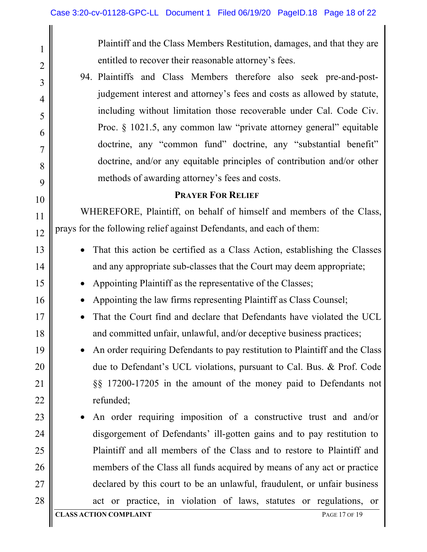1 2 3 4 5 6 7 8 9 10 11 12 13 14 15 16 17 18 19 20 21 22 23 24 25 26 27 28 Plaintiff and the Class Members Restitution, damages, and that they are entitled to recover their reasonable attorney's fees. 94. Plaintiffs and Class Members therefore also seek pre-and-postjudgement interest and attorney's fees and costs as allowed by statute, including without limitation those recoverable under Cal. Code Civ. Proc. § 1021.5, any common law "private attorney general" equitable doctrine, any "common fund" doctrine, any "substantial benefit" doctrine, and/or any equitable principles of contribution and/or other methods of awarding attorney's fees and costs. **PRAYER FOR RELIEF** WHEREFORE, Plaintiff, on behalf of himself and members of the Class, prays for the following relief against Defendants, and each of them: • That this action be certified as a Class Action, establishing the Classes and any appropriate sub-classes that the Court may deem appropriate; • Appointing Plaintiff as the representative of the Classes; • Appointing the law firms representing Plaintiff as Class Counsel; • That the Court find and declare that Defendants have violated the UCL and committed unfair, unlawful, and/or deceptive business practices; • An order requiring Defendants to pay restitution to Plaintiff and the Class due to Defendant's UCL violations, pursuant to Cal. Bus. & Prof. Code §§ 17200-17205 in the amount of the money paid to Defendants not refunded; • An order requiring imposition of a constructive trust and and/or disgorgement of Defendants' ill-gotten gains and to pay restitution to Plaintiff and all members of the Class and to restore to Plaintiff and members of the Class all funds acquired by means of any act or practice declared by this court to be an unlawful, fraudulent, or unfair business act or practice, in violation of laws, statutes or regulations, or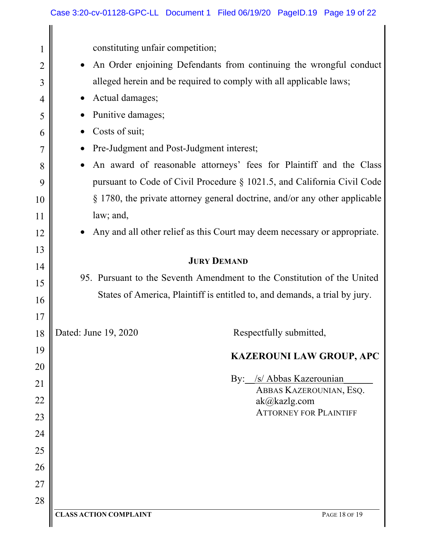| $\mathbf{I}$   | constituting unfair competition;                                                |  |  |  |  |  |
|----------------|---------------------------------------------------------------------------------|--|--|--|--|--|
| $\overline{2}$ | An Order enjoining Defendants from continuing the wrongful conduct<br>$\bullet$ |  |  |  |  |  |
| 3              | alleged herein and be required to comply with all applicable laws;              |  |  |  |  |  |
| 4              | Actual damages;<br>$\bullet$                                                    |  |  |  |  |  |
| 5              | Punitive damages;                                                               |  |  |  |  |  |
| 6              | Costs of suit;<br>$\bullet$                                                     |  |  |  |  |  |
| 7              | Pre-Judgment and Post-Judgment interest;<br>$\bullet$                           |  |  |  |  |  |
| 8              | An award of reasonable attorneys' fees for Plaintiff and the Class<br>$\bullet$ |  |  |  |  |  |
| 9              | pursuant to Code of Civil Procedure § 1021.5, and California Civil Code         |  |  |  |  |  |
| 10             | § 1780, the private attorney general doctrine, and/or any other applicable      |  |  |  |  |  |
| 11             | law; and,                                                                       |  |  |  |  |  |
| 12             | Any and all other relief as this Court may deem necessary or appropriate.       |  |  |  |  |  |
| 13             |                                                                                 |  |  |  |  |  |
| 14             | <b>JURY DEMAND</b>                                                              |  |  |  |  |  |
| 15             | 95. Pursuant to the Seventh Amendment to the Constitution of the United         |  |  |  |  |  |
| 16             | States of America, Plaintiff is entitled to, and demands, a trial by jury.      |  |  |  |  |  |
| 17             |                                                                                 |  |  |  |  |  |
| 18             | Respectfully submitted,<br>Dated: June 19, 2020                                 |  |  |  |  |  |
| 19             | <b>KAZEROUNI LAW GROUP, APC</b>                                                 |  |  |  |  |  |
| 20             |                                                                                 |  |  |  |  |  |
| 21             | By: /s/ Abbas Kazerounian<br>ABBAS KAZEROUNIAN, ESQ.                            |  |  |  |  |  |
| 22             | ak@kazlg.com                                                                    |  |  |  |  |  |
| 23             | <b>ATTORNEY FOR PLAINTIFF</b>                                                   |  |  |  |  |  |
| 24             |                                                                                 |  |  |  |  |  |
| 25             |                                                                                 |  |  |  |  |  |
| 26             |                                                                                 |  |  |  |  |  |
| 27             |                                                                                 |  |  |  |  |  |
| 28             |                                                                                 |  |  |  |  |  |
|                | <b>CLASS ACTION COMPLAINT</b><br>PAGE 18 OF 19                                  |  |  |  |  |  |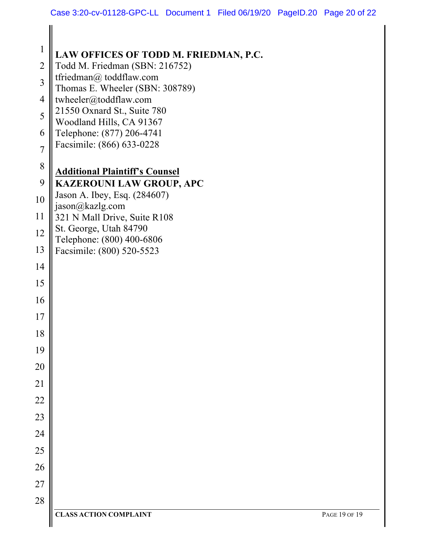| $\mathbf{1}$   | LAW OFFICES OF TODD M. FRIEDMAN, P.C.                      |
|----------------|------------------------------------------------------------|
| $\overline{2}$ | Todd M. Friedman (SBN: 216752)                             |
| $\overline{3}$ | tfriedman@ toddflaw.com<br>Thomas E. Wheeler (SBN: 308789) |
| $\overline{4}$ | twheeler@toddflaw.com                                      |
| 5              | 21550 Oxnard St., Suite 780<br>Woodland Hills, CA 91367    |
| 6              | Telephone: (877) 206-4741                                  |
| $\overline{7}$ | Facsimile: (866) 633-0228                                  |
| 8              | <b>Additional Plaintiff's Counsel</b>                      |
| 9              | <b>KAZEROUNI LAW GROUP, APC</b>                            |
| 10             | Jason A. Ibey, Esq. (284607)<br>jason@kazlg.com            |
| 11             | 321 N Mall Drive, Suite R108                               |
| 12             | St. George, Utah 84790<br>Telephone: (800) 400-6806        |
| 13             | Facsimile: (800) 520-5523                                  |
| 14             |                                                            |
| 15             |                                                            |
| 16             |                                                            |
| 17             |                                                            |
| 18             |                                                            |
| 19             |                                                            |
| 20             |                                                            |
| 21             |                                                            |
| 22             |                                                            |
| 23             |                                                            |
| 24             |                                                            |
| 25             |                                                            |
| 26             |                                                            |
| 27             |                                                            |
| 28             |                                                            |
|                | <b>CLASS ACTION COMPLAINT</b><br>PAGE 19 OF 19             |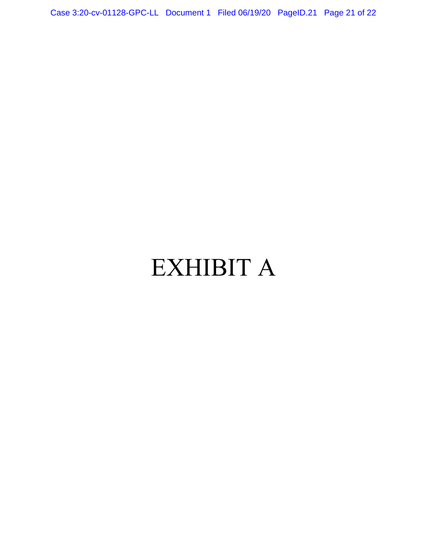Case 3:20-cv-01128-GPC-LL Document 1 Filed 06/19/20 PageID.21 Page 21 of 22

# EXHIBIT A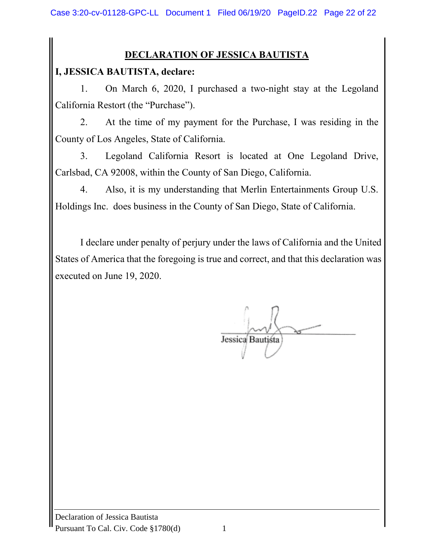## **DECLARATION OF JESSICA BAUTISTA**

## **I, JESSICA BAUTISTA, declare:**

1. On March 6, 2020, I purchased a two-night stay at the Legoland California Restort (the "Purchase").

2. At the time of my payment for the Purchase, I was residing in the County of Los Angeles, State of California.

3. Legoland California Resort is located at One Legoland Drive, Carlsbad, CA 92008, within the County of San Diego, California.

4. Also, it is my understanding that Merlin Entertainments Group U.S. Holdings Inc. does business in the County of San Diego, State of California.

I declare under penalty of perjury under the laws of California and the United States of America that the foregoing is true and correct, and that this declaration was executed on June 19, 2020.

Jessica Bautista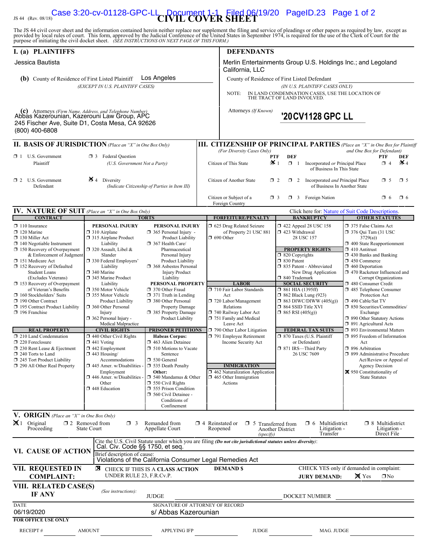#### JS 44 (Rev. 08/18)<br>
Case 3:20-cv-01128-GPC-LI Document 1-1 Filed 06/19/20 PageID.23 Page 1 of 2

The JS 44 civil cover sheet and the information contained herein neither replace nor supplement the filing and service of pleadings or other papers as required by law, except as provided by local rules of court. This form,

| I. (a) PLAINTIFFS                                                                                                                                                                                                                                                                                                                                                                                                                                                                                                                                                                                                                                                          |                                                                                                                                                                                                                                                                                                                                                                                                                                                                                                                                                                                                                                                                                                                                                                                                                                                                                                                                                                                                                                                                                                                                                                                                                                                                                                                                                              |                                                         | <b>DEFENDANTS</b>                                                                                                                                                                                                                                                                                                                                                                                                          |                                                                                                                                                                                                                                                                                                                                                                                                                                                                                                                             |                                                                                                                                                                                                                                                                                                                                                                                                                                                                                                                                                                                                                                                                                                                                            |  |  |
|----------------------------------------------------------------------------------------------------------------------------------------------------------------------------------------------------------------------------------------------------------------------------------------------------------------------------------------------------------------------------------------------------------------------------------------------------------------------------------------------------------------------------------------------------------------------------------------------------------------------------------------------------------------------------|--------------------------------------------------------------------------------------------------------------------------------------------------------------------------------------------------------------------------------------------------------------------------------------------------------------------------------------------------------------------------------------------------------------------------------------------------------------------------------------------------------------------------------------------------------------------------------------------------------------------------------------------------------------------------------------------------------------------------------------------------------------------------------------------------------------------------------------------------------------------------------------------------------------------------------------------------------------------------------------------------------------------------------------------------------------------------------------------------------------------------------------------------------------------------------------------------------------------------------------------------------------------------------------------------------------------------------------------------------------|---------------------------------------------------------|----------------------------------------------------------------------------------------------------------------------------------------------------------------------------------------------------------------------------------------------------------------------------------------------------------------------------------------------------------------------------------------------------------------------------|-----------------------------------------------------------------------------------------------------------------------------------------------------------------------------------------------------------------------------------------------------------------------------------------------------------------------------------------------------------------------------------------------------------------------------------------------------------------------------------------------------------------------------|--------------------------------------------------------------------------------------------------------------------------------------------------------------------------------------------------------------------------------------------------------------------------------------------------------------------------------------------------------------------------------------------------------------------------------------------------------------------------------------------------------------------------------------------------------------------------------------------------------------------------------------------------------------------------------------------------------------------------------------------|--|--|
| Jessica Bautista                                                                                                                                                                                                                                                                                                                                                                                                                                                                                                                                                                                                                                                           |                                                                                                                                                                                                                                                                                                                                                                                                                                                                                                                                                                                                                                                                                                                                                                                                                                                                                                                                                                                                                                                                                                                                                                                                                                                                                                                                                              |                                                         | Merlin Entertainments Group U.S. Holdings Inc.; and Legoland<br>California, LLC                                                                                                                                                                                                                                                                                                                                            |                                                                                                                                                                                                                                                                                                                                                                                                                                                                                                                             |                                                                                                                                                                                                                                                                                                                                                                                                                                                                                                                                                                                                                                                                                                                                            |  |  |
| (b) County of Residence of First Listed Plaintiff                                                                                                                                                                                                                                                                                                                                                                                                                                                                                                                                                                                                                          | Los Angeles                                                                                                                                                                                                                                                                                                                                                                                                                                                                                                                                                                                                                                                                                                                                                                                                                                                                                                                                                                                                                                                                                                                                                                                                                                                                                                                                                  |                                                         | County of Residence of First Listed Defendant                                                                                                                                                                                                                                                                                                                                                                              |                                                                                                                                                                                                                                                                                                                                                                                                                                                                                                                             |                                                                                                                                                                                                                                                                                                                                                                                                                                                                                                                                                                                                                                                                                                                                            |  |  |
|                                                                                                                                                                                                                                                                                                                                                                                                                                                                                                                                                                                                                                                                            | (EXCEPT IN U.S. PLAINTIFF CASES)                                                                                                                                                                                                                                                                                                                                                                                                                                                                                                                                                                                                                                                                                                                                                                                                                                                                                                                                                                                                                                                                                                                                                                                                                                                                                                                             |                                                         | (IN U.S. PLAINTIFF CASES ONLY)<br>IN LAND CONDEMNATION CASES, USE THE LOCATION OF THE TRACT OF LAND INVOLVED.<br>NOTE:                                                                                                                                                                                                                                                                                                     |                                                                                                                                                                                                                                                                                                                                                                                                                                                                                                                             |                                                                                                                                                                                                                                                                                                                                                                                                                                                                                                                                                                                                                                                                                                                                            |  |  |
| (c) Attorneys (Firm Name, Address, and Telephone Number)<br>Abbas Kazerounian, Kazerouni Law Group, APC<br>(800) 400-6808                                                                                                                                                                                                                                                                                                                                                                                                                                                                                                                                                  | 245 Fischer Ave, Suite D1, Costa Mesa, CA 92626                                                                                                                                                                                                                                                                                                                                                                                                                                                                                                                                                                                                                                                                                                                                                                                                                                                                                                                                                                                                                                                                                                                                                                                                                                                                                                              |                                                         | Attorneys (If Known)                                                                                                                                                                                                                                                                                                                                                                                                       | '20 CV1128 GPC LL                                                                                                                                                                                                                                                                                                                                                                                                                                                                                                           |                                                                                                                                                                                                                                                                                                                                                                                                                                                                                                                                                                                                                                                                                                                                            |  |  |
|                                                                                                                                                                                                                                                                                                                                                                                                                                                                                                                                                                                                                                                                            | <b>II. BASIS OF JURISDICTION</b> (Place an "X" in One Box Only)                                                                                                                                                                                                                                                                                                                                                                                                                                                                                                                                                                                                                                                                                                                                                                                                                                                                                                                                                                                                                                                                                                                                                                                                                                                                                              |                                                         |                                                                                                                                                                                                                                                                                                                                                                                                                            |                                                                                                                                                                                                                                                                                                                                                                                                                                                                                                                             | <b>III. CITIZENSHIP OF PRINCIPAL PARTIES</b> (Place an "X" in One Box for Plaintiff                                                                                                                                                                                                                                                                                                                                                                                                                                                                                                                                                                                                                                                        |  |  |
| $\Box$ 1 U.S. Government<br>Plaintiff                                                                                                                                                                                                                                                                                                                                                                                                                                                                                                                                                                                                                                      | <b>3</b> Federal Question<br>(U.S. Government Not a Party)                                                                                                                                                                                                                                                                                                                                                                                                                                                                                                                                                                                                                                                                                                                                                                                                                                                                                                                                                                                                                                                                                                                                                                                                                                                                                                   |                                                         | (For Diversity Cases Only)<br>Citizen of This State                                                                                                                                                                                                                                                                                                                                                                        | <b>DEF</b><br><b>PTF</b><br>$\mathbf{\times}$ 1<br>$\Box$ 1<br>Incorporated or Principal Place<br>of Business In This State                                                                                                                                                                                                                                                                                                                                                                                                 | and One Box for Defendant)<br>PTF<br>DEF<br>$\mathbf{\times}$ 4<br>$\Box$ 4                                                                                                                                                                                                                                                                                                                                                                                                                                                                                                                                                                                                                                                                |  |  |
| $\Box$ 2 U.S. Government<br>Defendant                                                                                                                                                                                                                                                                                                                                                                                                                                                                                                                                                                                                                                      | $\cancel{\bullet}$ 4 Diversity<br>(Indicate Citizenship of Parties in Item III)                                                                                                                                                                                                                                                                                                                                                                                                                                                                                                                                                                                                                                                                                                                                                                                                                                                                                                                                                                                                                                                                                                                                                                                                                                                                              |                                                         | Citizen of Another State                                                                                                                                                                                                                                                                                                                                                                                                   | $\Box$ 2<br>$\Box$ 2<br>Incorporated and Principal Place<br>of Business In Another State                                                                                                                                                                                                                                                                                                                                                                                                                                    | $\Box$ 5<br>$\Box$ 5                                                                                                                                                                                                                                                                                                                                                                                                                                                                                                                                                                                                                                                                                                                       |  |  |
|                                                                                                                                                                                                                                                                                                                                                                                                                                                                                                                                                                                                                                                                            |                                                                                                                                                                                                                                                                                                                                                                                                                                                                                                                                                                                                                                                                                                                                                                                                                                                                                                                                                                                                                                                                                                                                                                                                                                                                                                                                                              |                                                         | Citizen or Subject of a<br>Foreign Country                                                                                                                                                                                                                                                                                                                                                                                 | $\Box$ 3 Foreign Nation<br>$\Box$ 3                                                                                                                                                                                                                                                                                                                                                                                                                                                                                         | $\Box$ 6<br>$\Box$ 6                                                                                                                                                                                                                                                                                                                                                                                                                                                                                                                                                                                                                                                                                                                       |  |  |
| <b>IV. NATURE OF SUIT</b> (Place an "X" in One Box Only)                                                                                                                                                                                                                                                                                                                                                                                                                                                                                                                                                                                                                   |                                                                                                                                                                                                                                                                                                                                                                                                                                                                                                                                                                                                                                                                                                                                                                                                                                                                                                                                                                                                                                                                                                                                                                                                                                                                                                                                                              |                                                         | <b>FORFEITURE/PENALTY</b>                                                                                                                                                                                                                                                                                                                                                                                                  |                                                                                                                                                                                                                                                                                                                                                                                                                                                                                                                             | Click here for: Nature of Suit Code Descriptions.                                                                                                                                                                                                                                                                                                                                                                                                                                                                                                                                                                                                                                                                                          |  |  |
| <b>CONTRACT</b><br>$\Box$ 110 Insurance<br>$\Box$ 120 Marine<br>130 Miller Act<br>$\Box$ 140 Negotiable Instrument<br>$\Box$ 150 Recovery of Overpayment<br>& Enforcement of Judgment<br>151 Medicare Act<br>152 Recovery of Defaulted<br><b>Student Loans</b><br>(Excludes Veterans)<br>$\Box$ 153 Recovery of Overpayment<br>of Veteran's Benefits<br>$\Box$ 160 Stockholders' Suits<br>190 Other Contract<br>□ 195 Contract Product Liability<br>$\Box$ 196 Franchise<br><b>REAL PROPERTY</b><br>$\Box$ 210 Land Condemnation<br>220 Foreclosure<br>$\Box$ 230 Rent Lease & Ejectment<br>240 Torts to Land<br>245 Tort Product Liability<br>290 All Other Real Property | <b>TORTS</b><br>PERSONAL INJURY<br>PERSONAL INJURY<br>$\Box$ 310 Airplane<br>$\Box$ 365 Personal Injury -<br>□ 315 Airplane Product<br>Liability<br>$\Box$ 367 Health Care/<br>$\Box$ 320 Assault, Libel &<br>Pharmaceutical<br>Slander<br>Personal Injury<br>330 Federal Employers'<br><b>Product Liability</b><br>Liability<br>368 Asbestos Personal<br>$\Box$ 340 Marine<br><b>Injury Product</b><br>345 Marine Product<br>Liability<br>PERSONAL PROPERTY<br>Liability<br>350 Motor Vehicle<br>370 Other Fraud<br>355 Motor Vehicle<br>$\Box$ 371 Truth in Lending<br>380 Other Personal<br><b>Product Liability</b><br>360 Other Personal<br>385 Property Damage<br>Injury<br>$\Box$ 362 Personal Injury -<br>Product Liability<br>Medical Malpractice<br><b>CIVIL RIGHTS</b><br>PRISONER PETITIONS<br>$\Box$ 440 Other Civil Rights<br><b>Habeas Corpus:</b><br>$\Box$ 441 Voting<br>$\Box$ 463 Alien Detainee<br>$\Box$ 442 Employment<br><b>1</b> 510 Motions to Vacate<br>$\Box$ 443 Housing/<br>Sentence<br>$\Box$ 530 General<br>Accommodations<br>535 Death Penalty<br>$\Box$ 445 Amer. w/Disabilities -<br>Employment<br>Other:<br>$\square$ 446 Amer. w/Disabilities<br>$\Box$ 540 Mandamus & Other<br>Other<br>$\Box$ 550 Civil Rights<br><b>355 Prison Condition</b><br>448 Education<br>560 Civil Detainee -<br>Conditions of<br>Confinement | <b>Product Liability</b><br><b>Property Damage</b>      | □ 625 Drug Related Seizure<br>of Property 21 USC 881<br>$\Box$ 690 Other<br><b>LABOR</b><br>710 Fair Labor Standards<br>Act<br>720 Labor/Management<br>Relations<br>740 Railway Labor Act<br>751 Family and Medical<br>Leave Act<br>790 Other Labor Litigation<br>791 Employee Retirement<br>Income Security Act<br><b>IMMIGRATION</b><br>$\Box$ 462 Naturalization Application<br>$\Box$ 465 Other Immigration<br>Actions | <b>BANKRUPTCY</b><br>158 122 Appeal 28 USC 158<br>□ 423 Withdrawal<br>28 USC 157<br><b>PROPERTY RIGHTS</b><br>$\Box$ 820 Copyrights<br>□ 830 Patent<br>335 Patent - Abbreviated<br>New Drug Application<br>□ 840 Trademark<br><b>SOCIAL SECURITY</b><br>$\Box$ 861 HIA (1395ff)<br>$\Box$ 862 Black Lung (923)<br>$\Box$ 863 DIWC/DIWW (405(g))<br>$\Box$ 864 SSID Title XVI<br>$\Box$ 865 RSI (405(g))<br><b>FEDERAL TAX SUITS</b><br>□ 870 Taxes (U.S. Plaintiff<br>or Defendant)<br>□ 871 IRS-Third Party<br>26 USC 7609 | <b>OTHER STATUTES</b><br>375 False Claims Act<br>$\Box$ 376 Qui Tam (31 USC<br>3729(a)<br>1 400 State Reapportionment<br>$\Box$ 410 Antitrust<br>1 430 Banks and Banking<br>150 Commerce<br>$\Box$ 460 Deportation<br>1 470 Racketeer Influenced and<br><b>Corrupt Organizations</b><br>480 Consumer Credit<br>1485 Telephone Consumer<br>Protection Act<br>□ 490 Cable/Sat TV<br>□ 850 Securities/Commodities/<br>Exchange<br><b>390 Other Statutory Actions</b><br>□ 891 Agricultural Acts<br>□ 893 Environmental Matters<br>$\Box$ 895 Freedom of Information<br>Act<br>□ 896 Arbitration<br>□ 899 Administrative Procedure<br>Act/Review or Appeal of<br><b>Agency Decision</b><br>区 950 Constitutionality of<br><b>State Statutes</b> |  |  |
| V. ORIGIN (Place an "X" in One Box Only)<br>$\mathbf{\times}$ 1 Original<br>$\square$ 2 Removed from<br>$\Box$ 3<br>Remanded from<br>$\Box$ 4 Reinstated or $\Box$ 5 Transferred from<br>$\Box$ 6 Multidistrict<br>$\Box$ 8 Multidistrict<br>Proceeding<br><b>State Court</b><br>Appellate Court<br>Reopened<br>Litigation -<br>Litigation -<br>Another District                                                                                                                                                                                                                                                                                                           |                                                                                                                                                                                                                                                                                                                                                                                                                                                                                                                                                                                                                                                                                                                                                                                                                                                                                                                                                                                                                                                                                                                                                                                                                                                                                                                                                              |                                                         |                                                                                                                                                                                                                                                                                                                                                                                                                            |                                                                                                                                                                                                                                                                                                                                                                                                                                                                                                                             |                                                                                                                                                                                                                                                                                                                                                                                                                                                                                                                                                                                                                                                                                                                                            |  |  |
| VI. CAUSE OF ACTION                                                                                                                                                                                                                                                                                                                                                                                                                                                                                                                                                                                                                                                        | Cite the U.S. Civil Statute under which you are filing (Do not cite jurisdictional statutes unless diversity):<br>Cal. Civ. Code §§ 1750, et seq.<br>Brief description of cause:<br>Violations of the California Consumer Legal Remedies Act                                                                                                                                                                                                                                                                                                                                                                                                                                                                                                                                                                                                                                                                                                                                                                                                                                                                                                                                                                                                                                                                                                                 |                                                         | (specify)                                                                                                                                                                                                                                                                                                                                                                                                                  | Transfer                                                                                                                                                                                                                                                                                                                                                                                                                                                                                                                    | Direct File                                                                                                                                                                                                                                                                                                                                                                                                                                                                                                                                                                                                                                                                                                                                |  |  |
| <b>VII. REQUESTED IN</b><br>⊠<br>CHECK IF THIS IS A CLASS ACTION<br>UNDER RULE 23, F.R.Cv.P.<br><b>COMPLAINT:</b>                                                                                                                                                                                                                                                                                                                                                                                                                                                                                                                                                          |                                                                                                                                                                                                                                                                                                                                                                                                                                                                                                                                                                                                                                                                                                                                                                                                                                                                                                                                                                                                                                                                                                                                                                                                                                                                                                                                                              |                                                         | <b>DEMAND \$</b>                                                                                                                                                                                                                                                                                                                                                                                                           | <b>JURY DEMAND:</b>                                                                                                                                                                                                                                                                                                                                                                                                                                                                                                         | CHECK YES only if demanded in complaint:<br>X Yes<br>$\Box$ No                                                                                                                                                                                                                                                                                                                                                                                                                                                                                                                                                                                                                                                                             |  |  |
| VIII. RELATED CASE(S)<br>IF ANY                                                                                                                                                                                                                                                                                                                                                                                                                                                                                                                                                                                                                                            | (See instructions):<br><b>JUDGE</b>                                                                                                                                                                                                                                                                                                                                                                                                                                                                                                                                                                                                                                                                                                                                                                                                                                                                                                                                                                                                                                                                                                                                                                                                                                                                                                                          |                                                         |                                                                                                                                                                                                                                                                                                                                                                                                                            | DOCKET NUMBER                                                                                                                                                                                                                                                                                                                                                                                                                                                                                                               |                                                                                                                                                                                                                                                                                                                                                                                                                                                                                                                                                                                                                                                                                                                                            |  |  |
| <b>DATE</b><br>06/19/2020<br><b>FOR OFFICE USE ONLY</b>                                                                                                                                                                                                                                                                                                                                                                                                                                                                                                                                                                                                                    |                                                                                                                                                                                                                                                                                                                                                                                                                                                                                                                                                                                                                                                                                                                                                                                                                                                                                                                                                                                                                                                                                                                                                                                                                                                                                                                                                              | SIGNATURE OF ATTORNEY OF RECORD<br>s/ Abbas Kazerounian |                                                                                                                                                                                                                                                                                                                                                                                                                            |                                                                                                                                                                                                                                                                                                                                                                                                                                                                                                                             |                                                                                                                                                                                                                                                                                                                                                                                                                                                                                                                                                                                                                                                                                                                                            |  |  |
| <b>RECEIPT#</b>                                                                                                                                                                                                                                                                                                                                                                                                                                                                                                                                                                                                                                                            | <b>AMOUNT</b>                                                                                                                                                                                                                                                                                                                                                                                                                                                                                                                                                                                                                                                                                                                                                                                                                                                                                                                                                                                                                                                                                                                                                                                                                                                                                                                                                | APPLYING IFP                                            | <b>JUDGE</b>                                                                                                                                                                                                                                                                                                                                                                                                               | MAG. JUDGE                                                                                                                                                                                                                                                                                                                                                                                                                                                                                                                  | <u> 1989 - Andrea Station, amerikansk politik (</u>                                                                                                                                                                                                                                                                                                                                                                                                                                                                                                                                                                                                                                                                                        |  |  |